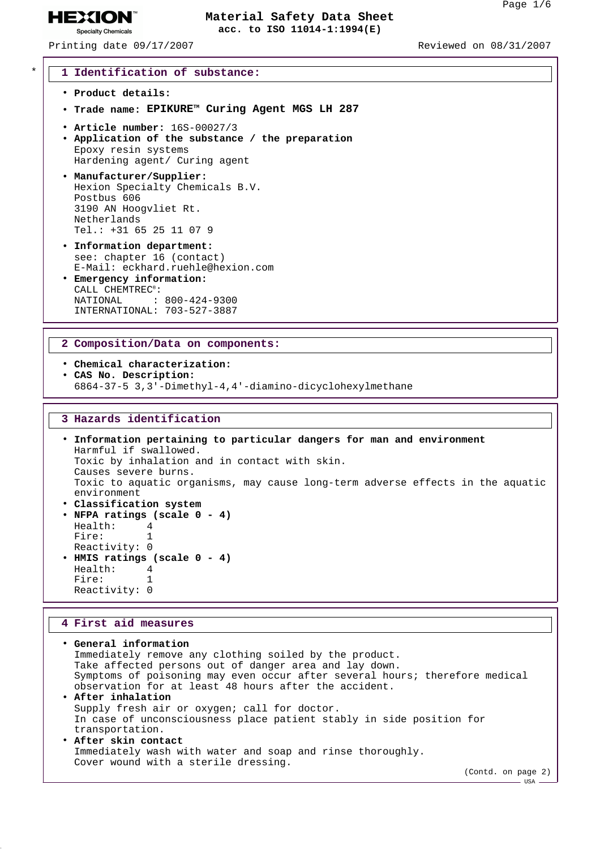$-$  USA

### **Material Safety Data Sheet acc. to ISO 11014-1:1994(E)**

Printing date 09/17/2007 Reviewed on 08/31/2007

**HEXION® Specialty Chemicals** 

\* **1 Identification of substance:** • **Product details:** • **Trade name: EPIKURETM Curing Agent MGS LH 287** • **Article number:** 16S-00027/3 • **Application of the substance / the preparation** Epoxy resin systems Hardening agent/ Curing agent • **Manufacturer/Supplier:** Hexion Specialty Chemicals B.V. Postbus 606 3190 AN Hoogvliet Rt. Netherlands Tel.: +31 65 25 11 07 9 • **Information department:** see: chapter 16 (contact) E-Mail: eckhard.ruehle@hexion.com • **Emergency information:** CALL CHEMTREC®: NATIONAL : 800-424-9300

#### **2 Composition/Data on components:**

INTERNATIONAL: 703-527-3887

• **Chemical characterization:** • **CAS No. Description:** 6864-37-5 3,3'-Dimethyl-4,4'-diamino-dicyclohexylmethane

# **3 Hazards identification**

• **Information pertaining to particular dangers for man and environment** Harmful if swallowed. Toxic by inhalation and in contact with skin. Causes severe burns. Toxic to aquatic organisms, may cause long-term adverse effects in the aquatic environment • **Classification system** • **NFPA ratings (scale 0 - 4)** Health: 4 Fire: 1 Reactivity: 0 • **HMIS ratings (scale 0 - 4)** Health: 4 Fire: 1 Reactivity: 0

#### **4 First aid measures**

```
• General information
 Immediately remove any clothing soiled by the product.
 Take affected persons out of danger area and lay down.
 Symptoms of poisoning may even occur after several hours; therefore medical
 observation for at least 48 hours after the accident.
• After inhalation
 Supply fresh air or oxygen; call for doctor.
 In case of unconsciousness place patient stably in side position for
 transportation.
• After skin contact
 Immediately wash with water and soap and rinse thoroughly.
 Cover wound with a sterile dressing.
                                                                   (Contd. on page 2)
```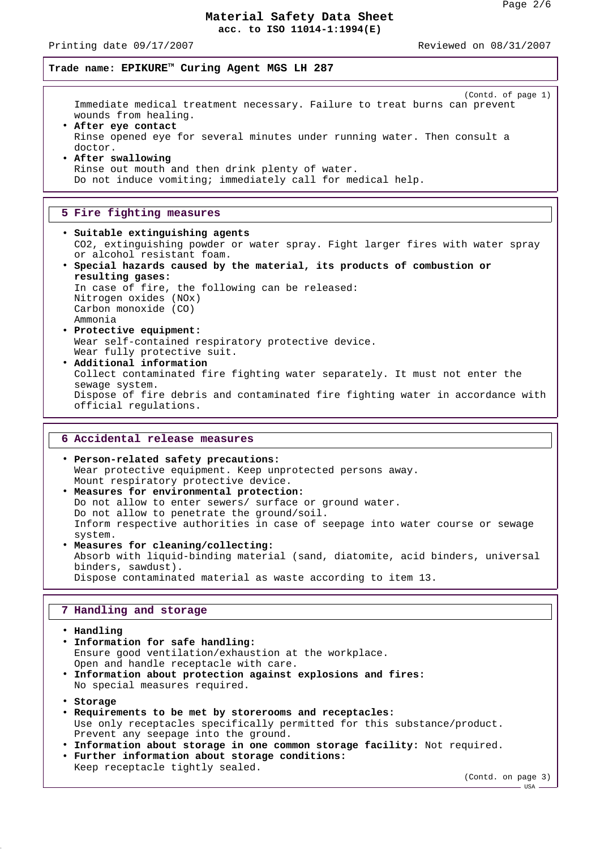Printing date 09/17/2007 Reviewed on 08/31/2007

**Trade name: EPIKURETM Curing Agent MGS LH 287**

(Contd. of page 1) Immediate medical treatment necessary. Failure to treat burns can prevent wounds from healing.

- **After eye contact** Rinse opened eye for several minutes under running water. Then consult a doctor.
- **After swallowing** Rinse out mouth and then drink plenty of water. Do not induce vomiting; immediately call for medical help.

## **5 Fire fighting measures**

- **Suitable extinguishing agents** CO2, extinguishing powder or water spray. Fight larger fires with water spray or alcohol resistant foam.
- **Special hazards caused by the material, its products of combustion or resulting gases:** In case of fire, the following can be released: Nitrogen oxides (NOx) Carbon monoxide (CO) Ammonia
- **Protective equipment:** Wear self-contained respiratory protective device. Wear fully protective suit.
- **Additional information** Collect contaminated fire fighting water separately. It must not enter the sewage system. Dispose of fire debris and contaminated fire fighting water in accordance with official regulations.

## **6 Accidental release measures**

• **Person-related safety precautions:** Wear protective equipment. Keep unprotected persons away. Mount respiratory protective device. • **Measures for environmental protection:** Do not allow to enter sewers/ surface or ground water. Do not allow to penetrate the ground/soil. Inform respective authorities in case of seepage into water course or sewage system. • **Measures for cleaning/collecting:**

Absorb with liquid-binding material (sand, diatomite, acid binders, universal binders, sawdust). Dispose contaminated material as waste according to item 13.

#### **7 Handling and storage**

• **Handling** • **Information for safe handling:** Ensure good ventilation/exhaustion at the workplace. Open and handle receptacle with care. • **Information about protection against explosions and fires:** No special measures required. • **Storage** • **Requirements to be met by storerooms and receptacles:** Use only receptacles specifically permitted for this substance/product. Prevent any seepage into the ground. • **Information about storage in one common storage facility:** Not required. • **Further information about storage conditions:** Keep receptacle tightly sealed.

(Contd. on page 3)

USA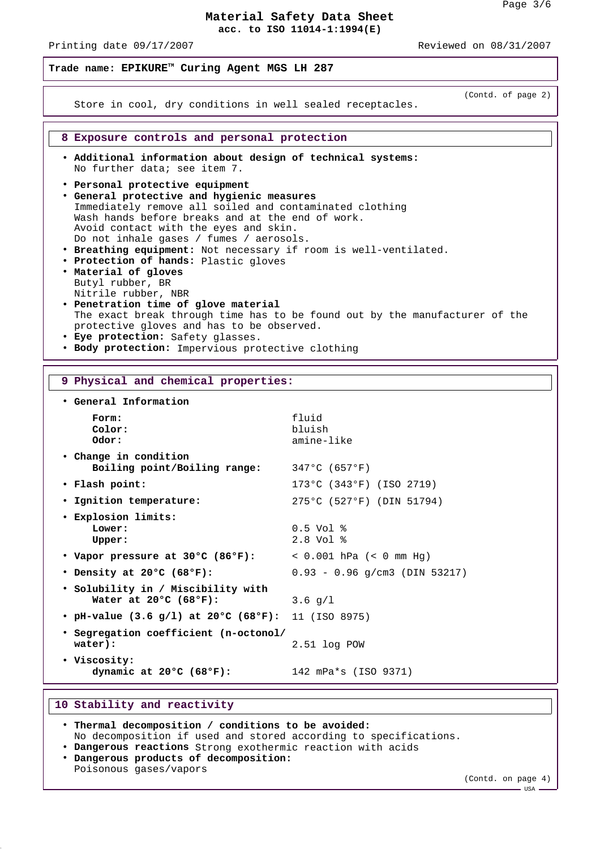Printing date 09/17/2007 Reviewed on 08/31/2007

**Trade name: EPIKURETM Curing Agent MGS LH 287**

(Contd. of page 2)

**8 Exposure controls and personal protection**

• **Additional information about design of technical systems:** No further data; see item 7.

Store in cool, dry conditions in well sealed receptacles.

- **Personal protective equipment**
- **General protective and hygienic measures** Immediately remove all soiled and contaminated clothing Wash hands before breaks and at the end of work. Avoid contact with the eyes and skin. Do not inhale gases / fumes / aerosols.
- **Breathing equipment:** Not necessary if room is well-ventilated.
- **Protection of hands:** Plastic gloves • **Material of gloves**
- Butyl rubber, BR Nitrile rubber, NBR
- **Penetration time of glove material** The exact break through time has to be found out by the manufacturer of the protective gloves and has to be observed.
- **Eye protection:** Safety glasses.
- **Body protection:** Impervious protective clothing

#### **9 Physical and chemical properties:**

• **General Information** Form: fluid **Color:** bluish **Odor:** amine-like • **Change in condition Boiling point/Boiling range:** 347°C (657°F) • **Flash point:** 173°C (343°F) (ISO 2719) • **Ignition temperature:** 275°C (527°F) (DIN 51794) • **Explosion limits: Lower:** 0.5 Vol % **Upper:** 2.8 Vol % • **Vapor pressure at 30°C (86°F):** < 0.001 hPa (< 0 mm Hg) • **Density at 20°C (68°F):** 0.93 - 0.96 g/cm3 (DIN 53217) • **Solubility in / Miscibility with Water at 20°C (68°F):** 3.6 g/l • **pH-value (3.6 g/l) at 20°C (68°F):** 11 (ISO 8975) • **Segregation coefficient (n-octonol/ water):** 2.51 log POW • **Viscosity: dynamic at 20°C (68°F):** 142 mPa\*s (ISO 9371)

### **10 Stability and reactivity**

| . Thermal decomposition / conditions to be avoided:              |  |  |
|------------------------------------------------------------------|--|--|
| No decomposition if used and stored according to specifications. |  |  |
| . Dangerous reactions Strong exothermic reaction with acids      |  |  |
| . Dangerous products of decomposition:                           |  |  |
| Poisonous gases/vapors                                           |  |  |
|                                                                  |  |  |

(Contd. on page 4)

 $-$  USA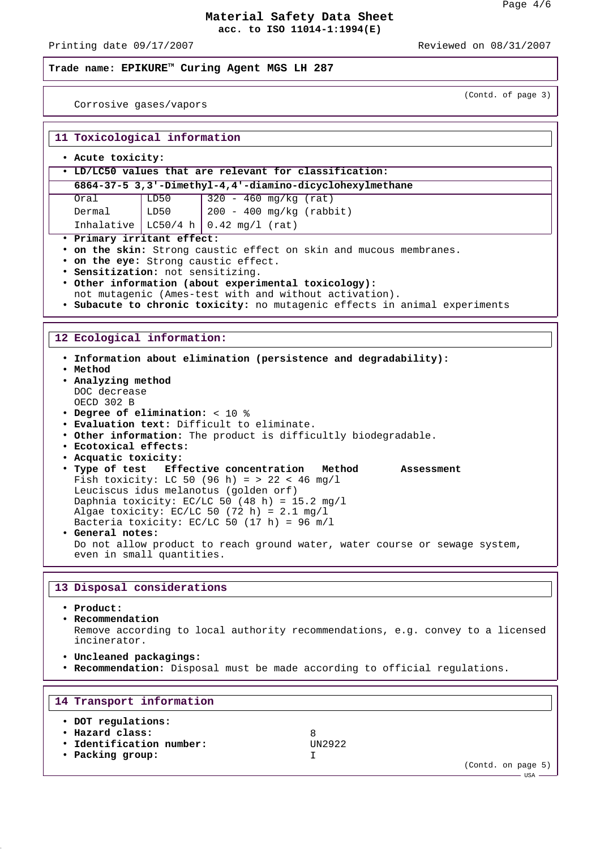Printing date 09/17/2007 **Reviewed** on 08/31/2007

(Contd. of page 3)

# **Trade name: EPIKURETM Curing Agent MGS LH 287**

Corrosive gases/vapors

| 11 Toxicological information                                                                                                                                                                                                                                                                                                                                                                                                                                                                                                                                                                                                                                                                                                                                                |      |                                                                            |  |  |  |  |
|-----------------------------------------------------------------------------------------------------------------------------------------------------------------------------------------------------------------------------------------------------------------------------------------------------------------------------------------------------------------------------------------------------------------------------------------------------------------------------------------------------------------------------------------------------------------------------------------------------------------------------------------------------------------------------------------------------------------------------------------------------------------------------|------|----------------------------------------------------------------------------|--|--|--|--|
| . Acute toxicity:                                                                                                                                                                                                                                                                                                                                                                                                                                                                                                                                                                                                                                                                                                                                                           |      |                                                                            |  |  |  |  |
| . LD/LC50 values that are relevant for classification:                                                                                                                                                                                                                                                                                                                                                                                                                                                                                                                                                                                                                                                                                                                      |      |                                                                            |  |  |  |  |
|                                                                                                                                                                                                                                                                                                                                                                                                                                                                                                                                                                                                                                                                                                                                                                             |      | 6864-37-5 3,3'-Dimethyl-4,4'-diamino-dicyclohexylmethane                   |  |  |  |  |
| Oral                                                                                                                                                                                                                                                                                                                                                                                                                                                                                                                                                                                                                                                                                                                                                                        | LD50 | $320 - 460$ mg/kg (rat)                                                    |  |  |  |  |
| Dermal                                                                                                                                                                                                                                                                                                                                                                                                                                                                                                                                                                                                                                                                                                                                                                      | LD50 | 200 - 400 mg/kg (rabbit)                                                   |  |  |  |  |
| Inhalative   LC50/4 h                                                                                                                                                                                                                                                                                                                                                                                                                                                                                                                                                                                                                                                                                                                                                       |      | $0.42$ mg/l (rat)                                                          |  |  |  |  |
| · Primary irritant effect:                                                                                                                                                                                                                                                                                                                                                                                                                                                                                                                                                                                                                                                                                                                                                  |      |                                                                            |  |  |  |  |
| . on the skin: Strong caustic effect on skin and mucous membranes.                                                                                                                                                                                                                                                                                                                                                                                                                                                                                                                                                                                                                                                                                                          |      |                                                                            |  |  |  |  |
|                                                                                                                                                                                                                                                                                                                                                                                                                                                                                                                                                                                                                                                                                                                                                                             |      | • on the eye: Strong caustic effect.                                       |  |  |  |  |
| · Sensitization: not sensitizing.                                                                                                                                                                                                                                                                                                                                                                                                                                                                                                                                                                                                                                                                                                                                           |      |                                                                            |  |  |  |  |
| • Other information (about experimental toxicology):<br>not mutagenic (Ames-test with and without activation).                                                                                                                                                                                                                                                                                                                                                                                                                                                                                                                                                                                                                                                              |      |                                                                            |  |  |  |  |
|                                                                                                                                                                                                                                                                                                                                                                                                                                                                                                                                                                                                                                                                                                                                                                             |      | . Subacute to chronic toxicity: no mutagenic effects in animal experiments |  |  |  |  |
|                                                                                                                                                                                                                                                                                                                                                                                                                                                                                                                                                                                                                                                                                                                                                                             |      |                                                                            |  |  |  |  |
|                                                                                                                                                                                                                                                                                                                                                                                                                                                                                                                                                                                                                                                                                                                                                                             |      |                                                                            |  |  |  |  |
| 12 Ecological information:                                                                                                                                                                                                                                                                                                                                                                                                                                                                                                                                                                                                                                                                                                                                                  |      |                                                                            |  |  |  |  |
| . Information about elimination (persistence and degradability):<br>• Method<br>. Analyzing method<br>DOC decrease<br>OECD 302 B<br>• Degree of elimination: < 10 %<br>. Evaluation text: Difficult to eliminate.<br>. Other information: The product is difficultly biodegradable.<br>· Ecotoxical effects:<br>· Acquatic toxicity:<br>. Type of test Effective concentration Method<br>Assessment<br>Fish toxicity: LC 50 (96 h) = > 22 < 46 mq/l<br>Leuciscus idus melanotus (golden orf)<br>Daphnia toxicity: EC/LC 50 (48 h) = 15.2 mg/l<br>Algae toxicity: EC/LC 50 (72 h) = $2.1$ mg/l<br>Bacteria toxicity: EC/LC 50 (17 h) = 96 m/l<br>· General notes:<br>Do not allow product to reach ground water, water course or sewage system,<br>even in small quantities. |      |                                                                            |  |  |  |  |
|                                                                                                                                                                                                                                                                                                                                                                                                                                                                                                                                                                                                                                                                                                                                                                             |      |                                                                            |  |  |  |  |
| 13 Disposal considerations                                                                                                                                                                                                                                                                                                                                                                                                                                                                                                                                                                                                                                                                                                                                                  |      |                                                                            |  |  |  |  |
| • Product:                                                                                                                                                                                                                                                                                                                                                                                                                                                                                                                                                                                                                                                                                                                                                                  |      |                                                                            |  |  |  |  |

• **Recommendation** Remove according to local authority recommendations, e.g. convey to a licensed incinerator.

- **Uncleaned packagings:**
- **Recommendation:** Disposal must be made according to official regulations.

| 14 Transport information                                                              |                     |                    |
|---------------------------------------------------------------------------------------|---------------------|--------------------|
| • DOT regulations:<br>• Hazard class:<br>. Identification number:<br>• Packing group: | 8<br><b>IIN2922</b> | (Contd. on page 5) |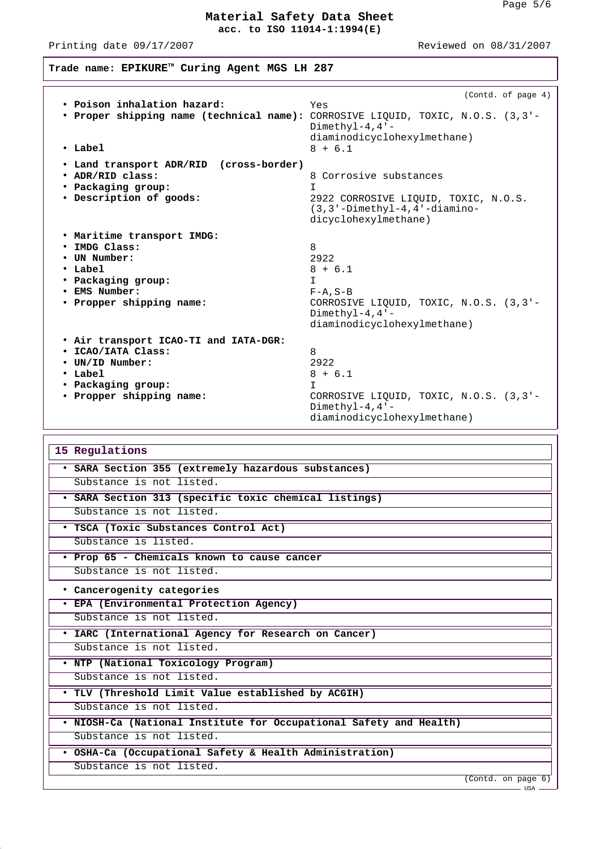Printing date 09/17/2007 Reviewed on 08/31/2007

**Trade name: EPIKURETM Curing Agent MGS LH 287**

| • Poison inhalation hazard:<br>. Proper shipping name (technical name): CORROSIVE LIQUID, TOXIC, N.O.S. (3,3'-<br>$\cdot$ Label                 | (Contd. of page 4)<br>Yes<br>Dimethyl-4, $4 -$<br>diaminodicyclohexylmethane)<br>$8 + 6.1$                                                      |  |  |
|-------------------------------------------------------------------------------------------------------------------------------------------------|-------------------------------------------------------------------------------------------------------------------------------------------------|--|--|
| · Land transport ADR/RID (cross-border)<br>. ADR/RID class:<br>• Packaging group:<br>· Description of goods:                                    | 8 Corrosive substances<br>T<br>2922 CORROSIVE LIQUID, TOXIC, N.O.S.<br>$(3, 3'-Dimethyl-4, 4'-diamino-$<br>dicyclohexylmethane)                 |  |  |
| . Maritime transport IMDG:<br>· IMDG Class:<br>• UN Number:<br>$\cdot$ Label<br>• Packaging group:<br>· EMS Number:<br>• Propper shipping name: | 8<br>2922<br>$8 + 6.1$<br>T.<br>$F - A$ , $S - B$<br>CORROSIVE LIQUID, TOXIC, N.O.S. (3,3'-<br>Dimethyl-4, $4 -$<br>diaminodicyclohexylmethane) |  |  |
| . Air transport ICAO-TI and IATA-DGR:<br>· ICAO/IATA Class:<br>• UN/ID Number:<br>• Label<br>• Packaging group:<br>· Propper shipping name:     | 8<br>2922<br>$8 + 6.1$<br>T.<br>CORROSIVE LIQUID, TOXIC, N.O.S. (3,3'-<br>Dimethy $l-4, 4$ '-<br>diaminodicyclohexylmethane)                    |  |  |
| 15 Regulations<br>· SARA Section 355 (extremely hazardous substances)                                                                           |                                                                                                                                                 |  |  |
| Substance is not listed.<br>· SARA Section 313 (specific toxic chemical listings)                                                               |                                                                                                                                                 |  |  |
|                                                                                                                                                 |                                                                                                                                                 |  |  |

Substance is not listed.

• **TSCA (Toxic Substances Control Act)**

Substance is listed.

• **Prop 65 - Chemicals known to cause cancer** Substance is not listed.

• **Cancerogenity categories**

• **EPA (Environmental Protection Agency)**

Substance is not listed.

• **IARC (International Agency for Research on Cancer)**

Substance is not listed.

• **NTP (National Toxicology Program)**

Substance is not listed.

• **TLV (Threshold Limit Value established by ACGIH)**

Substance is not listed.

• **NIOSH-Ca (National Institute for Occupational Safety and Health)** Substance is not listed.

• **OSHA-Ca (Occupational Safety & Health Administration)**

Substance is not listed.

(Contd. on page 6)

 $-$  USA